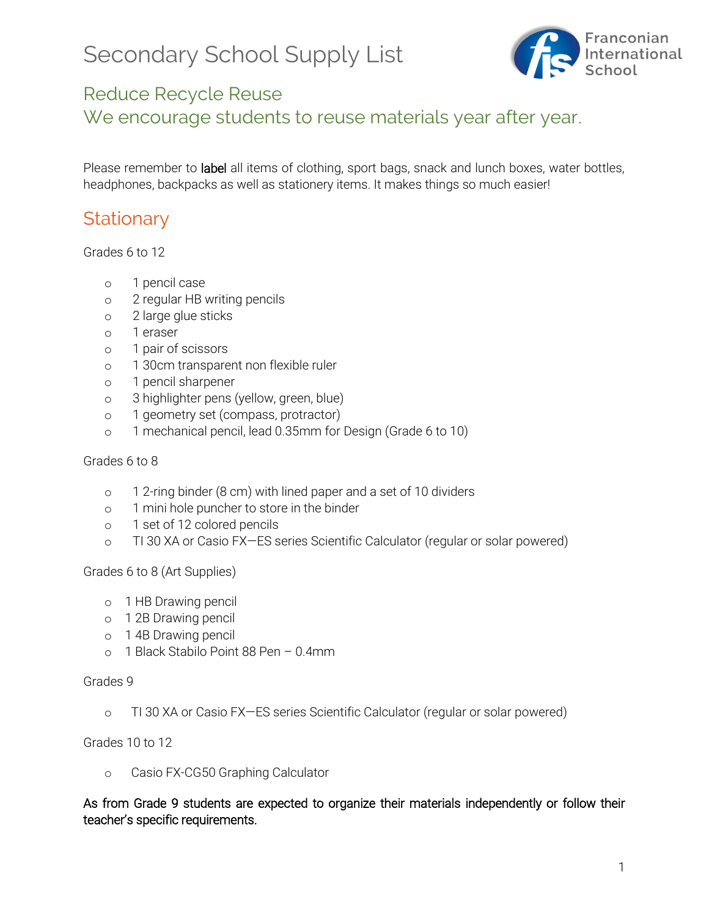# Secondary School Supply List



### Reduce Recycle Reuse

We encourage students to reuse materials year after year.

Please remember to label all items of clothing, sport bags, snack and lunch boxes, water bottles, headphones, backpacks as well as stationery items. It makes things so much easier!

### **Stationary**

Grades 6 to 12

- o 1 pencil case
- o 2 regular HB writing pencils
- o 2 large glue sticks
- o 1 eraser
- o 1 pair of scissors
- o 1 30cm transparent non flexible ruler
- o 1 pencil sharpener
- o 3 highlighter pens (yellow, green, blue)
- o 1 geometry set (compass, protractor)
- o 1 mechanical pencil, lead 0.35mm for Design (Grade 6 to 10)

#### Grades 6 to 8

- o 1 2-ring binder (8 cm) with lined paper and a set of 10 dividers
- o 1 mini hole puncher to store in the binder
- o 1 set of 12 colored pencils
- o TI 30 XA or Casio FX—ES series Scientific Calculator (regular or solar powered)

Grades 6 to 8 (Art Supplies)

- o 1 HB Drawing pencil
- o 1 2B Drawing pencil
- o 1 4B Drawing pencil
- o 1 Black Stabilo Point 88 Pen 0.4mm

#### Grades 9

o TI 30 XA or Casio FX—ES series Scientific Calculator (regular or solar powered)

Grades 10 to 12

o Casio FX-CG50 Graphing Calculator

As from Grade 9 students are expected to organize their materials independently or follow their teacher's specific requirements.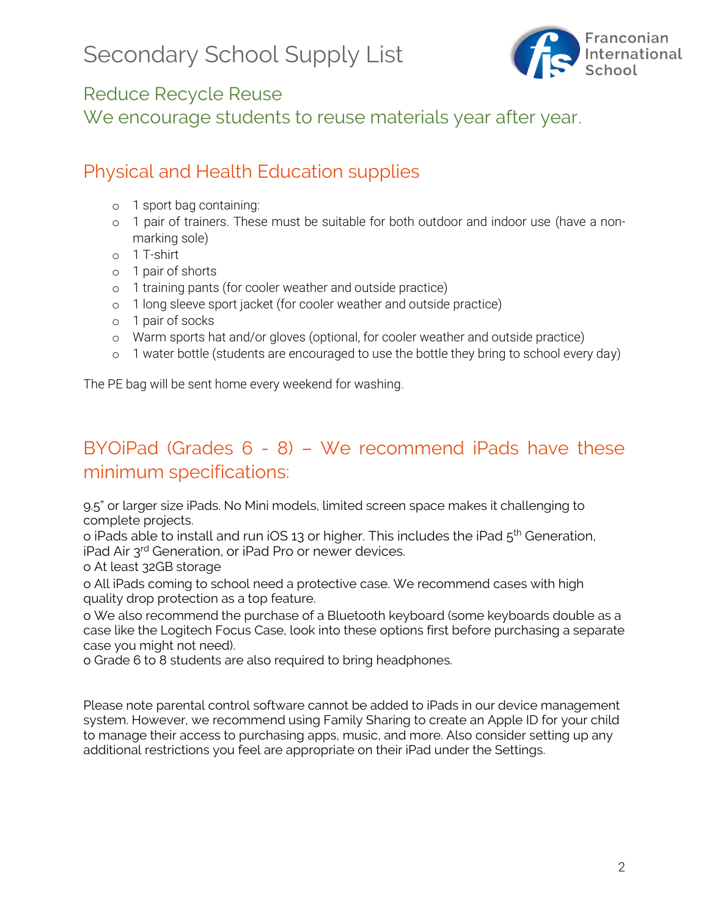

### Reduce Recycle Reuse

We encourage students to reuse materials year after year.

## Physical and Health Education supplies

- o 1 sport bag containing:
- o 1 pair of trainers. These must be suitable for both outdoor and indoor use (have a nonmarking sole)
- o 1 T-shirt
- o 1 pair of shorts
- o 1 training pants (for cooler weather and outside practice)
- o 1 long sleeve sport jacket (for cooler weather and outside practice)
- o 1 pair of socks
- o Warm sports hat and/or gloves (optional, for cooler weather and outside practice)
- o 1 water bottle (students are encouraged to use the bottle they bring to school every day)

The PE bag will be sent home every weekend for washing.

# BYOiPad (Grades 6 - 8) – We recommend iPads have these minimum specifications:

9.5" or larger size iPads. No Mini models, limited screen space makes it challenging to complete projects.

o iPads able to install and run iOS 13 or higher. This includes the iPad  $5<sup>th</sup>$  Generation, iPad Air 3rd Generation, or iPad Pro or newer devices.

o At least 32GB storage

o All iPads coming to school need a protective case. We recommend cases with high quality drop protection as a top feature.

o We also recommend the purchase of a Bluetooth keyboard (some keyboards double as a case like the Logitech Focus Case, look into these options first before purchasing a separate case you might not need).

o Grade 6 to 8 students are also required to bring headphones.

Please note parental control software cannot be added to iPads in our device management system. However, we recommend using Family Sharing to create an Apple ID for your child to manage their access to purchasing apps, music, and more. Also consider setting up any additional restrictions you feel are appropriate on their iPad under the Settings.